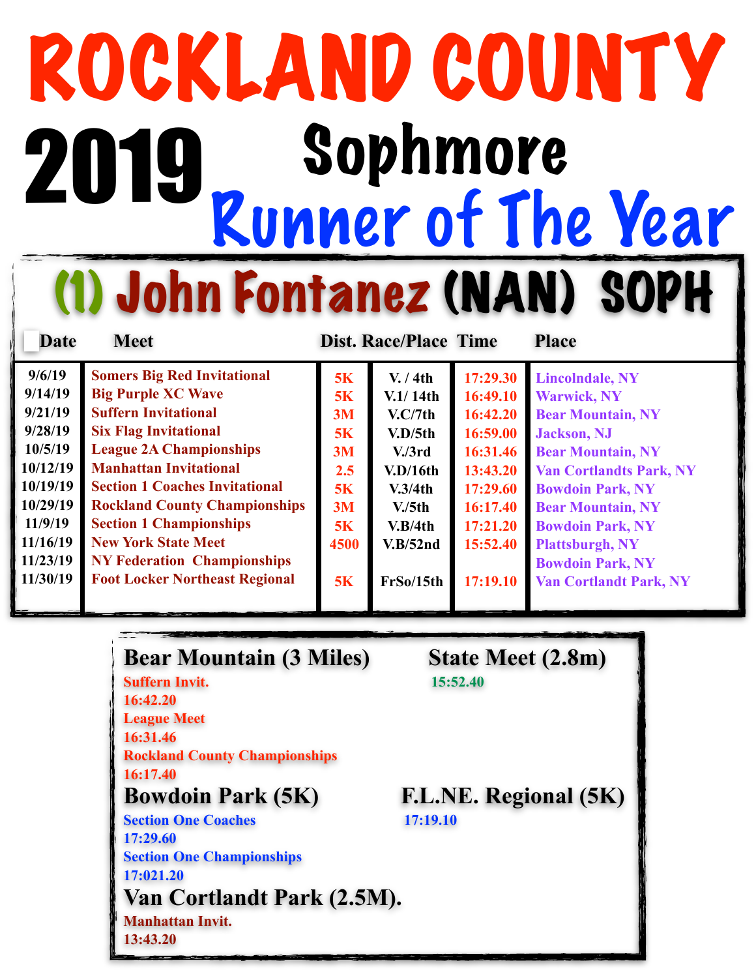# ROCKLAND COUNTY<br>2019 Sophmore Runner of The Year (1) John Fontanez (NAN) SOPH 2019

**Date Meet Dist. Race/Place Time Place** 

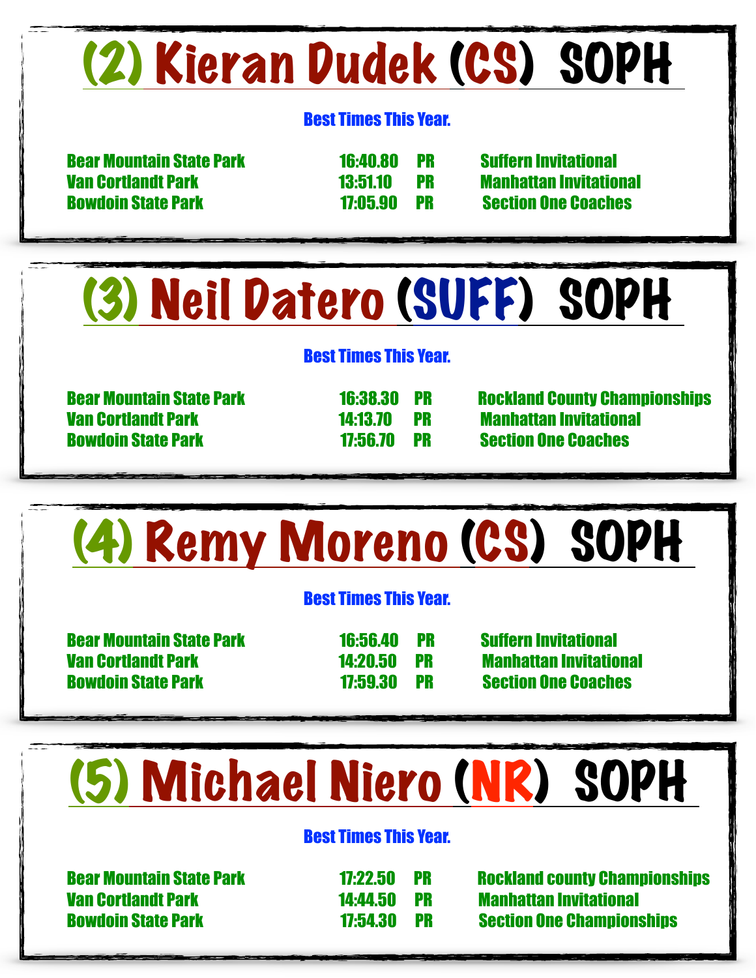### (2) Kieran Dudek (CS) SOPH

#### Best Times This Year.

 Bear Mountain State Park 16:40.80 PR Suffern Invitational Van Cortlandt Park 13:51.10 PR Manhattan Invitational Bowdoin State Park 17:05.90 PR Section One Coaches

### (3) Neil Datero (SUFF) SOPH

#### Best Times This Year.

 Van Cortlandt Park 14:13.70 PR Manhattan Invitational Bowdoin State Park 17:56.70 PR Section One Coaches

Bear Mountain State Park 16:38.30 PR Rockland County Championships

## (4) Remy Moreno (CS) SOPH

#### Best Times This Year.

 Bear Mountain State Park 16:56.40 PR Suffern Invitational Van Cortlandt Park 14:20.50 PR Manhattan Invitational Bowdoin State Park 17:59.30 PR Section One Coaches

## (5) Michael Niero (NR) SOPH

#### Best Times This Year.

Van Cortlandt Park 14:44.50 PR Manhattan Invitational

 Bear Mountain State Park 17:22.50 PR Rockland county Championships Bowdoin State Park 17:54.30 PR Section One Championships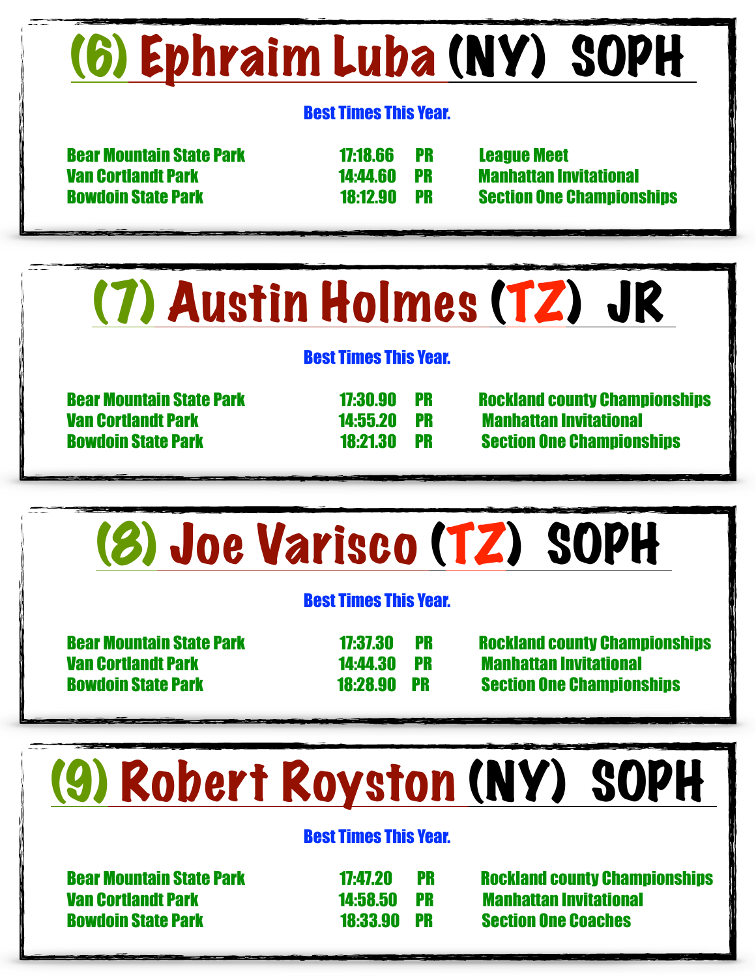## (6) Ephraim Luba (NY) SOPH

### Best Times This Year.

 Bear Mountain State Park 17:18.66 PR League Meet Van Cortlandt Park 14:44.60 PR Manhattan Invitational

Bowdoin State Park 18:12.90 PR Section One Championships

### (7) Austin Holmes (TZ) JR

### Best Times This Year.

Van Cortlandt Park 14:55.20 PR Manhattan Invitational

Bear Mountain State Park 17:30.90 PR Rockland county Championships Bowdoin State Park 18:21.30 PR Section One Championships



### (9) Robert Royston (NY) SOPH

### Best Times This Year.

 Van Cortlandt Park 14:58.50 PR Manhattan Invitational Bowdoin State Park 18:33.90 PR Section One Coaches

Bear Mountain State Park 17:47.20 PR Rockland county Championships